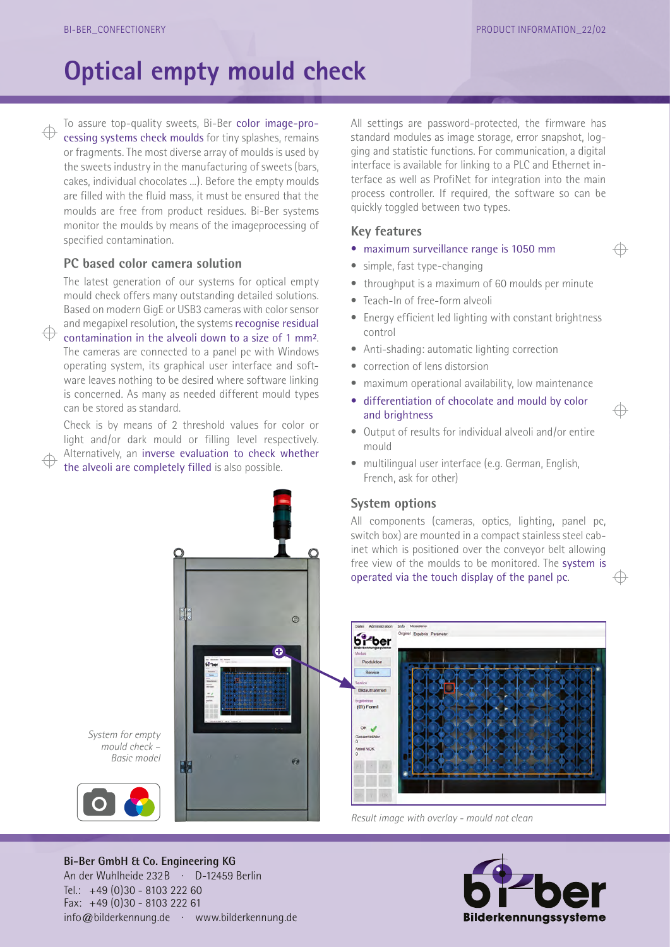⊕

 ⊕

## **Optical empty mould check**

To assure top-quality sweets, Bi-Ber color image-processing systems check moulds for tiny splashes, remains or fragments. The most diverse array of moulds is used by the sweets industry in the manufacturing of sweets (bars, cakes, individual chocolates ...). Before the empty moulds are filled with the fluid mass, it must be ensured that the moulds are free from product residues. Bi-Ber systems monitor the moulds by means of the imageprocessing of specified contamination.

### **PC based color camera solution**

The latest generation of our systems for optical empty mould check offers many outstanding detailed solutions. Based on modern GigE or USB3 cameras with color sensor and megapixel resolution, the systems recognise residual

contamination in the alveoli down to a size of 1 mm². The cameras are connected to a panel pc with Windows operating system, its graphical user interface and software leaves nothing to be desired where software linking is concerned. As many as needed different mould types can be stored as standard.

Check is by means of 2 threshold values for color or light and/or dark mould or filling level respectively. Alternatively, an inverse evaluation to check whether the alveoli are completely filled is also possible.

All settings are password-protected, the firmware has standard modules as image storage, error snapshot, logging and statistic functions. For communication, a digital interface is available for linking to a PLC and Ethernet interface as well as ProfiNet for integration into the main process controller. If required, the software so can be quickly toggled between two types.

### **Key features**

- maximum surveillance range is 1050 mm
- simple, fast type-changing
- throughput is a maximum of 60 moulds per minute
- Teach-In of free-form alveoli
- Energy efficient led lighting with constant brightness control
- Anti-shading: automatic lighting correction
- correction of lens distorsion
- maximum operational availability, low maintenance
- differentiation of chocolate and mould by color and brightness
- Output of results for individual alveoli and/or entire mould
- multilingual user interface (e.g. German, English, French, ask for other)

### **System options**

All components (cameras, optics, lighting, panel pc, switch box) are mounted in a compact stainless steel cabinet which is positioned over the conveyor belt allowing free view of the moulds to be monitored. The system is operated via the touch display of the panel pc.



*Result image with overlay - mould not clean*



 $\odot$ ø

*System for empty mould check – Basic model*



An der Wuhlheide 232B · D-12459 Berlin Tel.: +49 (0)30 - 8103 222 60 Fax: +49 (0)30 - 8103 222 61 info@bilderkennung.de · www.bilderkennung.de